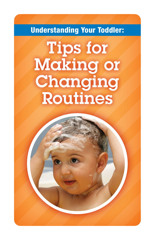# Understanding Your Toddler:

# Tips for Making or Changing Routines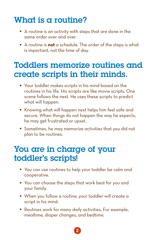# What is a routine?

- A routine is an activity with steps that are done in the same order over and over.
- A routine is **not** a schedule. The order of the steps is what is important, not the time of day.

### Toddlers memorize routines and create scripts in their minds.

- Your toddler makes scripts in his mind based on the routines in his life. His scripts are like movie scripts. One scene follows the next. He uses these scripts to predict what will happen.
- Knowing what will happen next helps him feel safe and secure. When things do not happen the way he expects, he may get frustrated or upset.
- Sometimes, he may memorize activities that you did not plan to be routines.

### You are in charge of your toddler's scripts!

- You can use routines to help your toddler be calm and cooperative.
- You can choose the steps that work best for you and your family.
- When you follow a routine, your toddler will create a script in his mind.
- Routines work for many daily activities. For example, mealtime, diaper changes, and bedtime.

2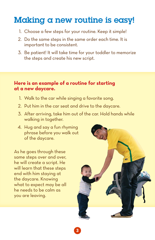## Making a new routine is easy!

- 1. Choose a few steps for your routine. Keep it simple!
- 2. Do the same steps in the same order each time. It is important to be consistent.
- 3. Be patient! It will take time for your toddler to memorize the steps and create his new script.

#### **Here is an example of a routine for starting at a new daycare.**

- 1. Walk to the car while singing a favorite song.
- 2. Put him in the car seat and drive to the daycare.
- 3. After arriving, take him out of the car. Hold hands while walking in together.
- 4. Hug and say a fun rhyming phrase before you walk out of the daycare.

As he goes through these same steps over and over, he will create a script. He will learn that these steps end with him staying at the daycare. Knowing what to expect may be all he needs to be calm as you are leaving.

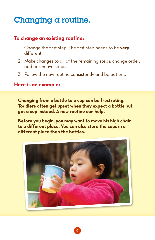# Changing a routine.

### **To change an existing routine:**

- 1. Change the first step. The first step needs to be very different.
- 2. Make changes to all of the remaining steps; change order, add or remove steps.
- 3. Follow the new routine consistently and be patient.

#### **Here is an example:**

**Changing from a bottle to a cup can be frustrating. Toddlers often get upset when they expect a bottle but get a cup instead. A new routine can help.** 

**Before you begin, you may want to move his high chair to a different place. You can also store the cups in a different place than the bottles.**